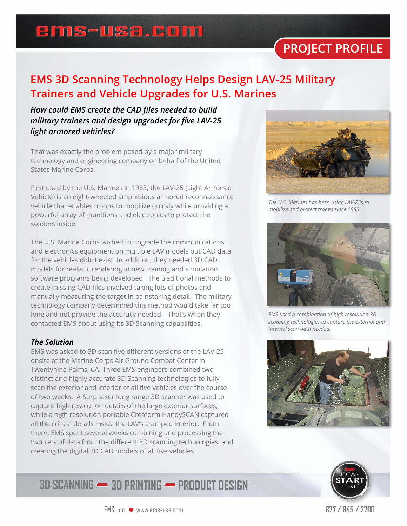## ems-usa.com

## **PROJECT PROFILE**

#### **EMS 3D Scanning Technology Helps Design LAV-25 Military Trainers and Vehicle Upgrades for U.S. Marines**

#### *How could EMS create the CAD files needed to build military trainers and design upgrades for five LAV-25 light armored vehicles?*

That was exactly the problem posed by a major military technology and engineering company on behalf of the United States Marine Corps.

First used by the U.S. Marines in 1983, the LAV-25 (Light Armored Vehicle) is an eight-wheeled amphibious armored reconnaissance vehicle that enables troops to mobilize quickly while providing a powerful array of munitions and electronics to protect the soldiers inside.

The U.S. Marine Corps wished to upgrade the communications and electronics equipment on multiple LAV models but CAD data for the vehicles didn't exist. In addition, they needed 3D CAD models for realistic rendering in new training and simulation software programs being developed. The traditional methods to create missing CAD files involved taking lots of photos and manually measuring the target in painstaking detail. The military technology company determined this method would take far too long and not provide the accuracy needed. That's when they contacted EMS about using its 3D Scanning capabilities.

#### *The Solution*

EMS was asked to 3D scan five different versions of the LAV-25 onsite at the Marine Corps Air Ground Combat Center in Twentynine Palms, CA. Three EMS engineers combined two distinct and highly accurate 3D Scanning technologies to fully scan the exterior and interior of all five vehicles over the course of two weeks. A Surphaser long range 3D scanner was used to capture high resolution details of the large exterior surfaces, while a high resolution portable Creaform HandySCAN captured all the critical details inside the LAV's cramped interior. From there, EMS spent several weeks combining and processing the two sets of data from the different 3D scanning technologies, and creating the digital 3D CAD models of all five vehicles.



*The U.S. Marines has been using LAV-25s to mobilize and protect troops since 1983.*



*EMS used a combination of high resolution 3D scanning technologies to capture the external and internal scan data needed.*





#### **3D SCANNING - 3D PRINTING - PRODUCT DESIGN**